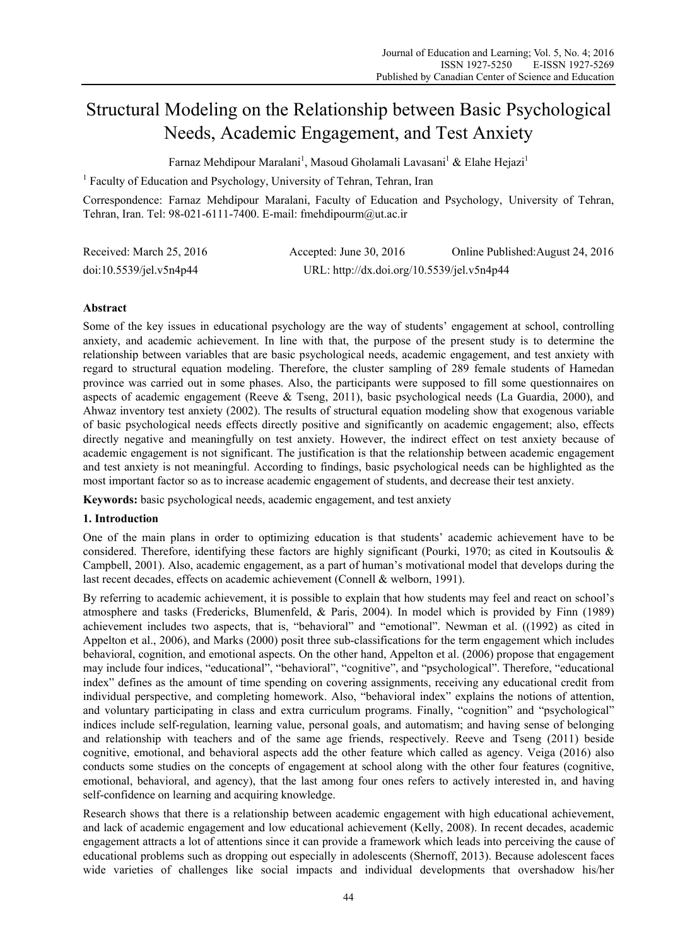# Structural Modeling on the Relationship between Basic Psychological Needs, Academic Engagement, and Test Anxiety

Farnaz Mehdipour Maralani<sup>1</sup>, Masoud Gholamali Lavasani<sup>1</sup> & Elahe Hejazi<sup>1</sup>

<sup>1</sup> Faculty of Education and Psychology, University of Tehran, Tehran, Iran

Correspondence: Farnaz Mehdipour Maralani, Faculty of Education and Psychology, University of Tehran, Tehran, Iran. Tel: 98-021-6111-7400. E-mail: fmehdipourm@ut.ac.ir

| Received: March 25, 2016 | Accepted: June 30, 2016                    | Online Published: August 24, 2016 |
|--------------------------|--------------------------------------------|-----------------------------------|
| doi:10.5539/jel.v5n4p44  | URL: http://dx.doi.org/10.5539/jel.v5n4p44 |                                   |

## **Abstract**

Some of the key issues in educational psychology are the way of students' engagement at school, controlling anxiety, and academic achievement. In line with that, the purpose of the present study is to determine the relationship between variables that are basic psychological needs, academic engagement, and test anxiety with regard to structural equation modeling. Therefore, the cluster sampling of 289 female students of Hamedan province was carried out in some phases. Also, the participants were supposed to fill some questionnaires on aspects of academic engagement (Reeve & Tseng, 2011), basic psychological needs (La Guardia, 2000), and Ahwaz inventory test anxiety (2002). The results of structural equation modeling show that exogenous variable of basic psychological needs effects directly positive and significantly on academic engagement; also, effects directly negative and meaningfully on test anxiety. However, the indirect effect on test anxiety because of academic engagement is not significant. The justification is that the relationship between academic engagement and test anxiety is not meaningful. According to findings, basic psychological needs can be highlighted as the most important factor so as to increase academic engagement of students, and decrease their test anxiety.

**Keywords:** basic psychological needs, academic engagement, and test anxiety

## **1. Introduction**

One of the main plans in order to optimizing education is that students' academic achievement have to be considered. Therefore, identifying these factors are highly significant (Pourki, 1970; as cited in Koutsoulis & Campbell, 2001). Also, academic engagement, as a part of human's motivational model that develops during the last recent decades, effects on academic achievement (Connell & welborn, 1991).

By referring to academic achievement, it is possible to explain that how students may feel and react on school's atmosphere and tasks (Fredericks, Blumenfeld, & Paris, 2004). In model which is provided by Finn (1989) achievement includes two aspects, that is, "behavioral" and "emotional". Newman et al. ((1992) as cited in Appelton et al., 2006), and Marks (2000) posit three sub-classifications for the term engagement which includes behavioral, cognition, and emotional aspects. On the other hand, Appelton et al. (2006) propose that engagement may include four indices, "educational", "behavioral", "cognitive", and "psychological". Therefore, "educational index" defines as the amount of time spending on covering assignments, receiving any educational credit from individual perspective, and completing homework. Also, "behavioral index" explains the notions of attention, and voluntary participating in class and extra curriculum programs. Finally, "cognition" and "psychological" indices include self-regulation, learning value, personal goals, and automatism; and having sense of belonging and relationship with teachers and of the same age friends, respectively. Reeve and Tseng (2011) beside cognitive, emotional, and behavioral aspects add the other feature which called as agency. Veiga (2016) also conducts some studies on the concepts of engagement at school along with the other four features (cognitive, emotional, behavioral, and agency), that the last among four ones refers to actively interested in, and having self-confidence on learning and acquiring knowledge.

Research shows that there is a relationship between academic engagement with high educational achievement, and lack of academic engagement and low educational achievement (Kelly, 2008). In recent decades, academic engagement attracts a lot of attentions since it can provide a framework which leads into perceiving the cause of educational problems such as dropping out especially in adolescents (Shernoff, 2013). Because adolescent faces wide varieties of challenges like social impacts and individual developments that overshadow his/her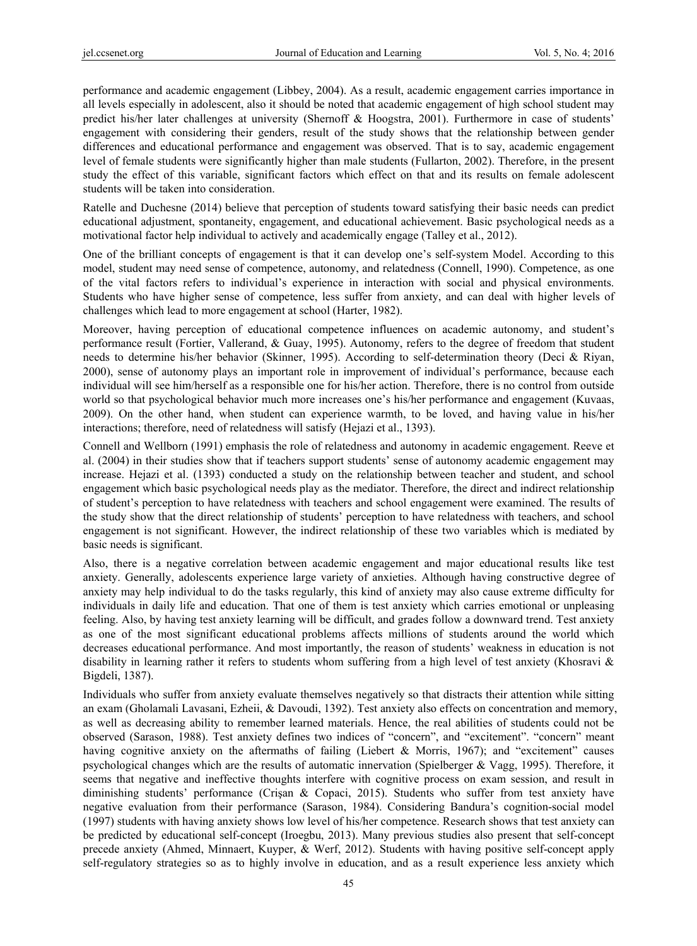performance and academic engagement (Libbey, 2004). As a result, academic engagement carries importance in all levels especially in adolescent, also it should be noted that academic engagement of high school student may predict his/her later challenges at university (Shernoff & Hoogstra, 2001). Furthermore in case of students' engagement with considering their genders, result of the study shows that the relationship between gender differences and educational performance and engagement was observed. That is to say, academic engagement level of female students were significantly higher than male students (Fullarton, 2002). Therefore, in the present study the effect of this variable, significant factors which effect on that and its results on female adolescent students will be taken into consideration.

Ratelle and Duchesne (2014) believe that perception of students toward satisfying their basic needs can predict educational adjustment, spontaneity, engagement, and educational achievement. Basic psychological needs as a motivational factor help individual to actively and academically engage (Talley et al., 2012).

One of the brilliant concepts of engagement is that it can develop one's self-system Model. According to this model, student may need sense of competence, autonomy, and relatedness (Connell, 1990). Competence, as one of the vital factors refers to individual's experience in interaction with social and physical environments. Students who have higher sense of competence, less suffer from anxiety, and can deal with higher levels of challenges which lead to more engagement at school (Harter, 1982).

Moreover, having perception of educational competence influences on academic autonomy, and student's performance result (Fortier, Vallerand, & Guay, 1995). Autonomy, refers to the degree of freedom that student needs to determine his/her behavior (Skinner, 1995). According to self-determination theory (Deci & Riyan, 2000), sense of autonomy plays an important role in improvement of individual's performance, because each individual will see him/herself as a responsible one for his/her action. Therefore, there is no control from outside world so that psychological behavior much more increases one's his/her performance and engagement (Kuvaas, 2009). On the other hand, when student can experience warmth, to be loved, and having value in his/her interactions; therefore, need of relatedness will satisfy (Hejazi et al., 1393).

Connell and Wellborn (1991) emphasis the role of relatedness and autonomy in academic engagement. Reeve et al. (2004) in their studies show that if teachers support students' sense of autonomy academic engagement may increase. Hejazi et al. (1393) conducted a study on the relationship between teacher and student, and school engagement which basic psychological needs play as the mediator. Therefore, the direct and indirect relationship of student's perception to have relatedness with teachers and school engagement were examined. The results of the study show that the direct relationship of students' perception to have relatedness with teachers, and school engagement is not significant. However, the indirect relationship of these two variables which is mediated by basic needs is significant.

Also, there is a negative correlation between academic engagement and major educational results like test anxiety. Generally, adolescents experience large variety of anxieties. Although having constructive degree of anxiety may help individual to do the tasks regularly, this kind of anxiety may also cause extreme difficulty for individuals in daily life and education. That one of them is test anxiety which carries emotional or unpleasing feeling. Also, by having test anxiety learning will be difficult, and grades follow a downward trend. Test anxiety as one of the most significant educational problems affects millions of students around the world which decreases educational performance. And most importantly, the reason of students' weakness in education is not disability in learning rather it refers to students whom suffering from a high level of test anxiety (Khosravi & Bigdeli, 1387).

Individuals who suffer from anxiety evaluate themselves negatively so that distracts their attention while sitting an exam (Gholamali Lavasani, Ezheii, & Davoudi, 1392). Test anxiety also effects on concentration and memory, as well as decreasing ability to remember learned materials. Hence, the real abilities of students could not be observed (Sarason, 1988). Test anxiety defines two indices of "concern", and "excitement". "concern" meant having cognitive anxiety on the aftermaths of failing (Liebert & Morris, 1967); and "excitement" causes psychological changes which are the results of automatic innervation (Spielberger & Vagg, 1995). Therefore, it seems that negative and ineffective thoughts interfere with cognitive process on exam session, and result in diminishing students' performance (Crişan & Copaci, 2015). Students who suffer from test anxiety have negative evaluation from their performance (Sarason, 1984). Considering Bandura's cognition-social model (1997) students with having anxiety shows low level of his/her competence. Research shows that test anxiety can be predicted by educational self-concept (Iroegbu, 2013). Many previous studies also present that self-concept precede anxiety (Ahmed, Minnaert, Kuyper, & Werf, 2012). Students with having positive self-concept apply self-regulatory strategies so as to highly involve in education, and as a result experience less anxiety which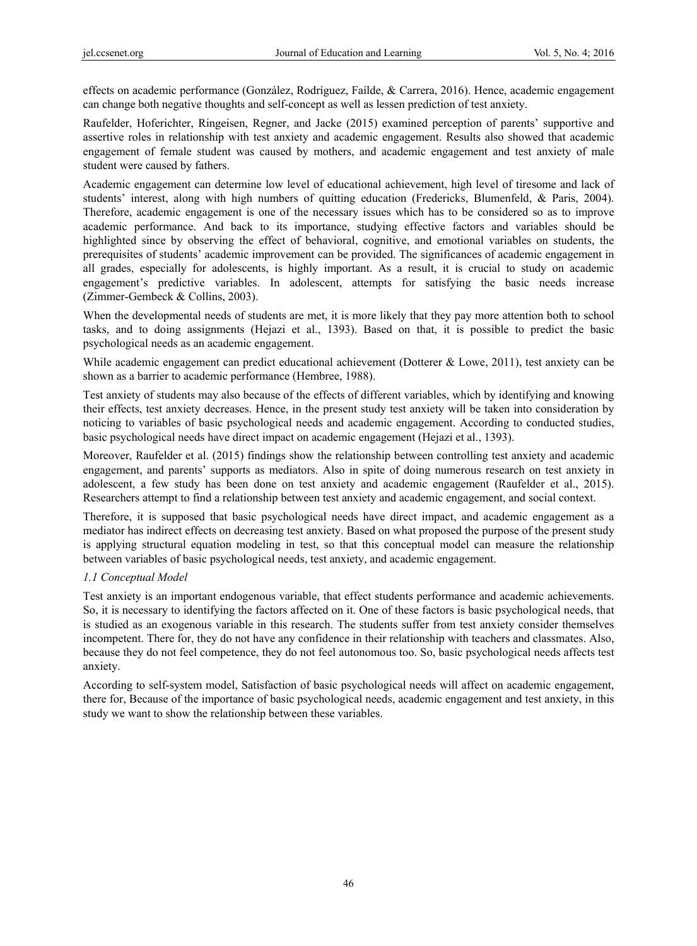effects on academic performance (González, Rodríguez, Faílde, & Carrera, 2016). Hence, academic engagement can change both negative thoughts and self-concept as well as lessen prediction of test anxiety.

Raufelder, Hoferichter, Ringeisen, Regner, and Jacke (2015) examined perception of parents' supportive and assertive roles in relationship with test anxiety and academic engagement. Results also showed that academic engagement of female student was caused by mothers, and academic engagement and test anxiety of male student were caused by fathers.

Academic engagement can determine low level of educational achievement, high level of tiresome and lack of students' interest, along with high numbers of quitting education (Fredericks, Blumenfeld, & Paris, 2004). Therefore, academic engagement is one of the necessary issues which has to be considered so as to improve academic performance. And back to its importance, studying effective factors and variables should be highlighted since by observing the effect of behavioral, cognitive, and emotional variables on students, the prerequisites of students' academic improvement can be provided. The significances of academic engagement in all grades, especially for adolescents, is highly important. As a result, it is crucial to study on academic engagement's predictive variables. In adolescent, attempts for satisfying the basic needs increase (Zimmer-Gembeck & Collins, 2003).

When the developmental needs of students are met, it is more likely that they pay more attention both to school tasks, and to doing assignments (Hejazi et al., 1393). Based on that, it is possible to predict the basic psychological needs as an academic engagement.

While academic engagement can predict educational achievement (Dotterer & Lowe, 2011), test anxiety can be shown as a barrier to academic performance (Hembree, 1988).

Test anxiety of students may also because of the effects of different variables, which by identifying and knowing their effects, test anxiety decreases. Hence, in the present study test anxiety will be taken into consideration by noticing to variables of basic psychological needs and academic engagement. According to conducted studies, basic psychological needs have direct impact on academic engagement (Hejazi et al., 1393).

Moreover, Raufelder et al. (2015) findings show the relationship between controlling test anxiety and academic engagement, and parents' supports as mediators. Also in spite of doing numerous research on test anxiety in adolescent, a few study has been done on test anxiety and academic engagement (Raufelder et al., 2015). Researchers attempt to find a relationship between test anxiety and academic engagement, and social context.

Therefore, it is supposed that basic psychological needs have direct impact, and academic engagement as a mediator has indirect effects on decreasing test anxiety. Based on what proposed the purpose of the present study is applying structural equation modeling in test, so that this conceptual model can measure the relationship between variables of basic psychological needs, test anxiety, and academic engagement.

# *1.1 Conceptual Model*

Test anxiety is an important endogenous variable, that effect students performance and academic achievements. So, it is necessary to identifying the factors affected on it. One of these factors is basic psychological needs, that is studied as an exogenous variable in this research. The students suffer from test anxiety consider themselves incompetent. There for, they do not have any confidence in their relationship with teachers and classmates. Also, because they do not feel competence, they do not feel autonomous too. So, basic psychological needs affects test anxiety.

According to self-system model, Satisfaction of basic psychological needs will affect on academic engagement, there for, Because of the importance of basic psychological needs, academic engagement and test anxiety, in this study we want to show the relationship between these variables.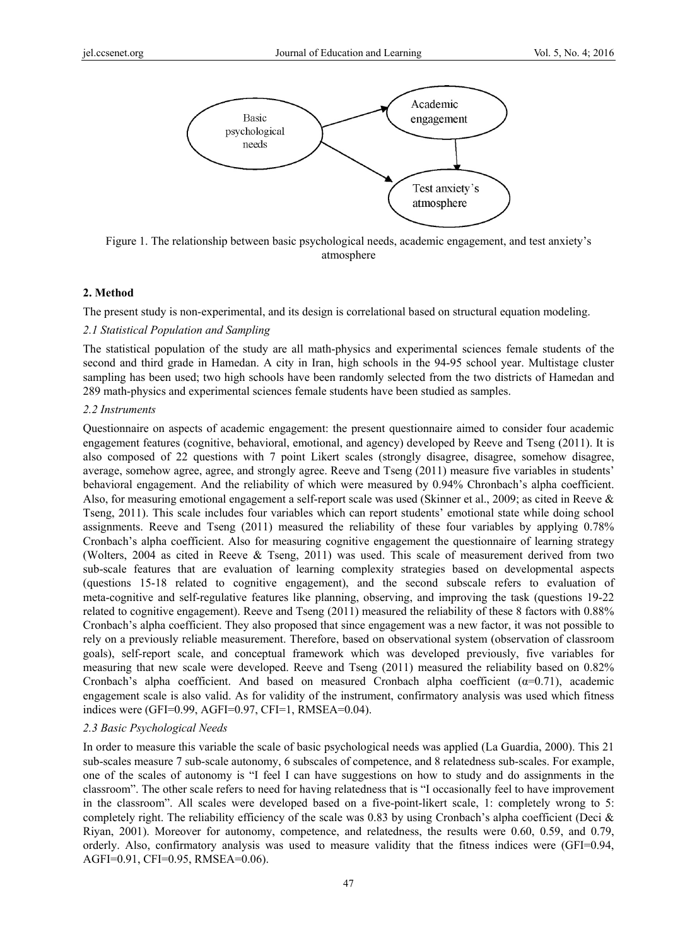

Figure 1. The relationship between basic psychological needs, academic engagement, and test anxiety's atmosphere

## **2. Method**

The present study is non-experimental, and its design is correlational based on structural equation modeling.

## *2.1 Statistical Population and Sampling*

The statistical population of the study are all math-physics and experimental sciences female students of the second and third grade in Hamedan. A city in Iran, high schools in the 94-95 school year. Multistage cluster sampling has been used; two high schools have been randomly selected from the two districts of Hamedan and 289 math-physics and experimental sciences female students have been studied as samples.

### *2.2 Instruments*

Questionnaire on aspects of academic engagement: the present questionnaire aimed to consider four academic engagement features (cognitive, behavioral, emotional, and agency) developed by Reeve and Tseng (2011). It is also composed of 22 questions with 7 point Likert scales (strongly disagree, disagree, somehow disagree, average, somehow agree, agree, and strongly agree. Reeve and Tseng (2011) measure five variables in students' behavioral engagement. And the reliability of which were measured by 0.94% Chronbach's alpha coefficient. Also, for measuring emotional engagement a self-report scale was used (Skinner et al., 2009; as cited in Reeve & Tseng, 2011). This scale includes four variables which can report students' emotional state while doing school assignments. Reeve and Tseng (2011) measured the reliability of these four variables by applying 0.78% Cronbach's alpha coefficient. Also for measuring cognitive engagement the questionnaire of learning strategy (Wolters, 2004 as cited in Reeve & Tseng, 2011) was used. This scale of measurement derived from two sub-scale features that are evaluation of learning complexity strategies based on developmental aspects (questions 15-18 related to cognitive engagement), and the second subscale refers to evaluation of meta-cognitive and self-regulative features like planning, observing, and improving the task (questions 19-22 related to cognitive engagement). Reeve and Tseng (2011) measured the reliability of these 8 factors with 0.88% Cronbach's alpha coefficient. They also proposed that since engagement was a new factor, it was not possible to rely on a previously reliable measurement. Therefore, based on observational system (observation of classroom goals), self-report scale, and conceptual framework which was developed previously, five variables for measuring that new scale were developed. Reeve and Tseng (2011) measured the reliability based on 0.82% Cronbach's alpha coefficient. And based on measured Cronbach alpha coefficient  $(\alpha=0.71)$ , academic engagement scale is also valid. As for validity of the instrument, confirmatory analysis was used which fitness indices were (GFI=0.99, AGFI=0.97, CFI=1, RMSEA=0.04).

## *2.3 Basic Psychological Needs*

In order to measure this variable the scale of basic psychological needs was applied (La Guardia, 2000). This 21 sub-scales measure 7 sub-scale autonomy, 6 subscales of competence, and 8 relatedness sub-scales. For example, one of the scales of autonomy is "I feel I can have suggestions on how to study and do assignments in the classroom". The other scale refers to need for having relatedness that is "I occasionally feel to have improvement in the classroom". All scales were developed based on a five-point-likert scale, 1: completely wrong to 5: completely right. The reliability efficiency of the scale was 0.83 by using Cronbach's alpha coefficient (Deci  $\&$ Riyan, 2001). Moreover for autonomy, competence, and relatedness, the results were 0.60, 0.59, and 0.79, orderly. Also, confirmatory analysis was used to measure validity that the fitness indices were (GFI=0.94, AGFI=0.91, CFI=0.95, RMSEA=0.06).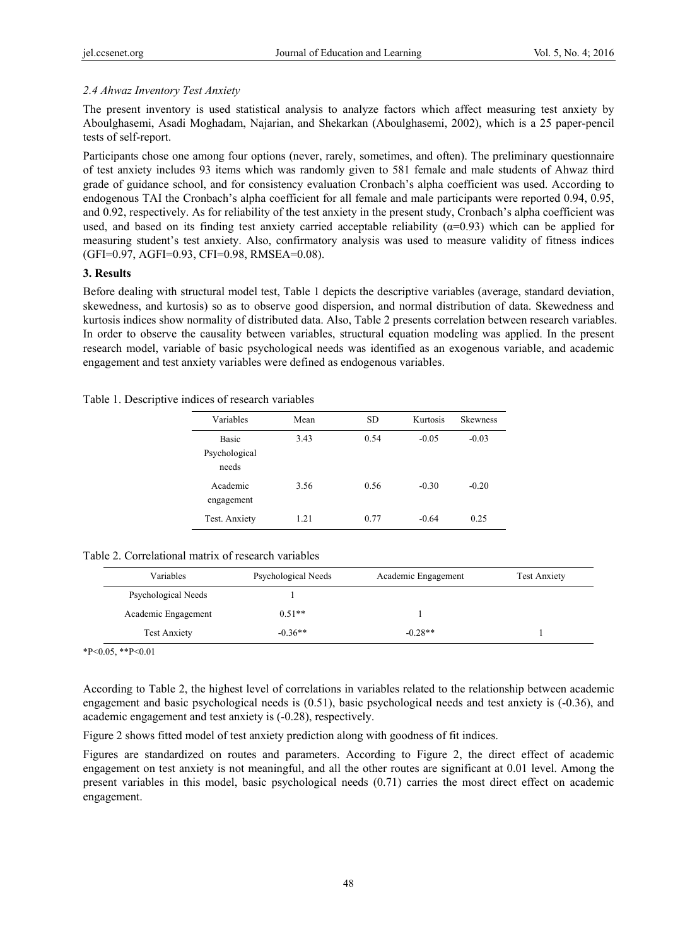# *2.4 Ahwaz Inventory Test Anxiety*

The present inventory is used statistical analysis to analyze factors which affect measuring test anxiety by Aboulghasemi, Asadi Moghadam, Najarian, and Shekarkan (Aboulghasemi, 2002), which is a 25 paper-pencil tests of self-report.

Participants chose one among four options (never, rarely, sometimes, and often). The preliminary questionnaire of test anxiety includes 93 items which was randomly given to 581 female and male students of Ahwaz third grade of guidance school, and for consistency evaluation Cronbach's alpha coefficient was used. According to endogenous TAI the Cronbach's alpha coefficient for all female and male participants were reported 0.94, 0.95, and 0.92, respectively. As for reliability of the test anxiety in the present study, Cronbach's alpha coefficient was used, and based on its finding test anxiety carried acceptable reliability  $(\alpha=0.93)$  which can be applied for measuring student's test anxiety. Also, confirmatory analysis was used to measure validity of fitness indices (GFI=0.97, AGFI=0.93, CFI=0.98, RMSEA=0.08).

## **3. Results**

Before dealing with structural model test, Table 1 depicts the descriptive variables (average, standard deviation, skewedness, and kurtosis) so as to observe good dispersion, and normal distribution of data. Skewedness and kurtosis indices show normality of distributed data. Also, Table 2 presents correlation between research variables. In order to observe the causality between variables, structural equation modeling was applied. In the present research model, variable of basic psychological needs was identified as an exogenous variable, and academic engagement and test anxiety variables were defined as endogenous variables.

## Table 1. Descriptive indices of research variables

| Variables                              | Mean | SD.  | Kurtosis | <b>Skewness</b> |
|----------------------------------------|------|------|----------|-----------------|
| <b>Basic</b><br>Psychological<br>needs | 3.43 | 0.54 | $-0.05$  | $-0.03$         |
| Academic<br>engagement                 | 3.56 | 0.56 | $-0.30$  | $-0.20$         |
| Test. Anxiety                          | 1.21 | 0.77 | $-0.64$  | 0.25            |

# Table 2. Correlational matrix of research variables

| Variables           | Psychological Needs | Academic Engagement | <b>Test Anxiety</b> |
|---------------------|---------------------|---------------------|---------------------|
| Psychological Needs |                     |                     |                     |
| Academic Engagement | $0.51**$            |                     |                     |
| <b>Test Anxiety</b> | $-0.36**$           | $-0.28**$           |                     |

 $*P<0.05$ ,  $*P<0.01$ 

According to Table 2, the highest level of correlations in variables related to the relationship between academic engagement and basic psychological needs is (0.51), basic psychological needs and test anxiety is (-0.36), and academic engagement and test anxiety is (-0.28), respectively.

Figure 2 shows fitted model of test anxiety prediction along with goodness of fit indices.

Figures are standardized on routes and parameters. According to Figure 2, the direct effect of academic engagement on test anxiety is not meaningful, and all the other routes are significant at 0.01 level. Among the present variables in this model, basic psychological needs (0.71) carries the most direct effect on academic engagement.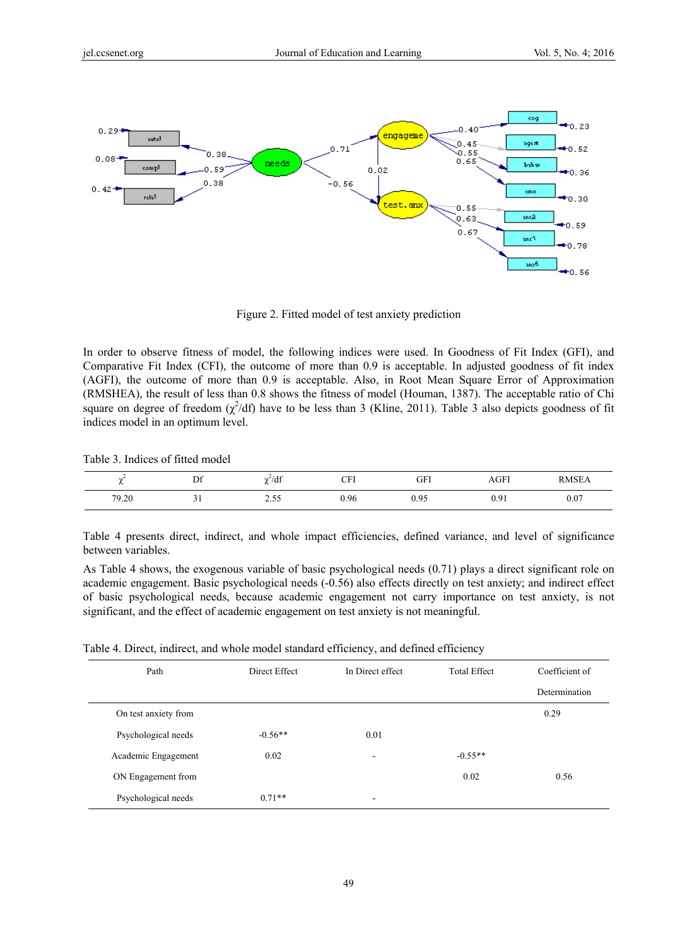

Figure 2. Fitted model of test anxiety prediction

In order to observe fitness of model, the following indices were used. In Goodness of Fit Index (GFI), and Comparative Fit Index (CFI), the outcome of more than 0.9 is acceptable. In adjusted goodness of fit index (AGFI), the outcome of more than 0.9 is acceptable. Also, in Root Mean Square Error of Approximation (RMSHEA), the result of less than 0.8 shows the fitness of model (Houman, 1387). The acceptable ratio of Chi square on degree of freedom  $(\chi^2/df)$  have to be less than 3 (Kline, 2011). Table 3 also depicts goodness of fit indices model in an optimum level.

| Table 3. Indices of fitted model |  |  |  |  |
|----------------------------------|--|--|--|--|
|----------------------------------|--|--|--|--|

| $\sim$ | D£<br>D. | 1.10<br>7df<br>rv.    | $\cap$ Fi<br>ີ້ | GFI  | AGFI | <b>DMCE</b> |
|--------|----------|-----------------------|-----------------|------|------|-------------|
| 79.20  |          | $\sim$ $ -$<br>ر ر به | 0.96            | 0.95 | 0.91 | 0.07        |

Table 4 presents direct, indirect, and whole impact efficiencies, defined variance, and level of significance between variables.

As Table 4 shows, the exogenous variable of basic psychological needs (0.71) plays a direct significant role on academic engagement. Basic psychological needs (-0.56) also effects directly on test anxiety; and indirect effect of basic psychological needs, because academic engagement not carry importance on test anxiety, is not significant, and the effect of academic engagement on test anxiety is not meaningful.

Table 4. Direct, indirect, and whole model standard efficiency, and defined efficiency

| Path                 | Direct Effect | In Direct effect         | <b>Total Effect</b> | Coefficient of |
|----------------------|---------------|--------------------------|---------------------|----------------|
|                      |               |                          |                     | Determination  |
| On test anxiety from |               |                          |                     | 0.29           |
| Psychological needs  | $-0.56**$     | 0.01                     |                     |                |
| Academic Engagement  | 0.02          | $\overline{\phantom{a}}$ | $-0.55**$           |                |
| ON Engagement from   |               |                          | 0.02                | 0.56           |
| Psychological needs  | $0.71**$      | $\overline{\phantom{a}}$ |                     |                |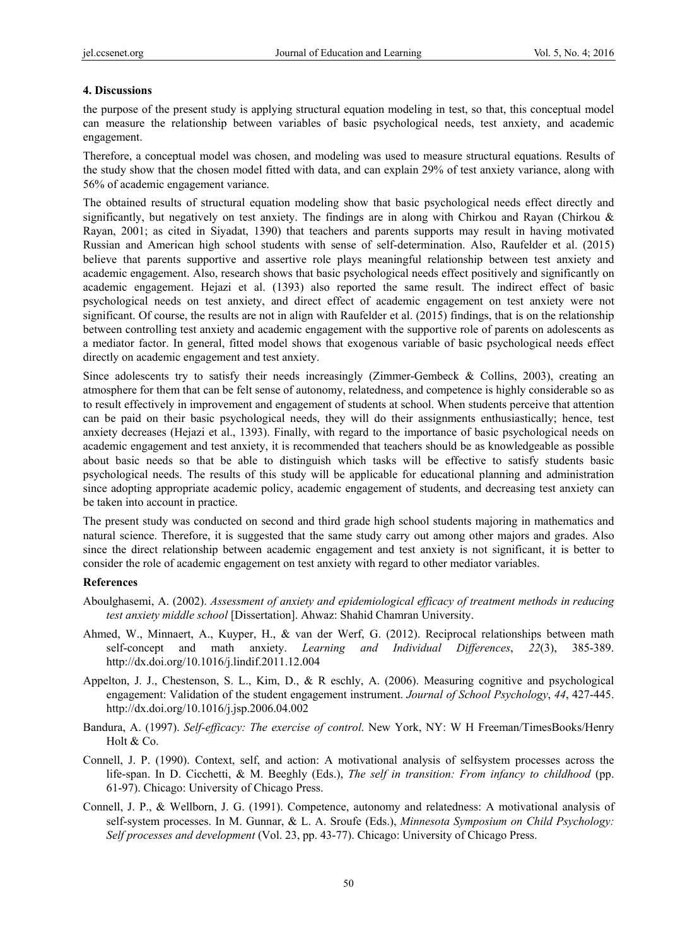#### **4. Discussions**

the purpose of the present study is applying structural equation modeling in test, so that, this conceptual model can measure the relationship between variables of basic psychological needs, test anxiety, and academic engagement.

Therefore, a conceptual model was chosen, and modeling was used to measure structural equations. Results of the study show that the chosen model fitted with data, and can explain 29% of test anxiety variance, along with 56% of academic engagement variance.

The obtained results of structural equation modeling show that basic psychological needs effect directly and significantly, but negatively on test anxiety. The findings are in along with Chirkou and Rayan (Chirkou & Rayan, 2001; as cited in Siyadat, 1390) that teachers and parents supports may result in having motivated Russian and American high school students with sense of self-determination. Also, Raufelder et al. (2015) believe that parents supportive and assertive role plays meaningful relationship between test anxiety and academic engagement. Also, research shows that basic psychological needs effect positively and significantly on academic engagement. Hejazi et al. (1393) also reported the same result. The indirect effect of basic psychological needs on test anxiety, and direct effect of academic engagement on test anxiety were not significant. Of course, the results are not in align with Raufelder et al. (2015) findings, that is on the relationship between controlling test anxiety and academic engagement with the supportive role of parents on adolescents as a mediator factor. In general, fitted model shows that exogenous variable of basic psychological needs effect directly on academic engagement and test anxiety.

Since adolescents try to satisfy their needs increasingly (Zimmer-Gembeck  $\&$  Collins, 2003), creating an atmosphere for them that can be felt sense of autonomy, relatedness, and competence is highly considerable so as to result effectively in improvement and engagement of students at school. When students perceive that attention can be paid on their basic psychological needs, they will do their assignments enthusiastically; hence, test anxiety decreases (Hejazi et al., 1393). Finally, with regard to the importance of basic psychological needs on academic engagement and test anxiety, it is recommended that teachers should be as knowledgeable as possible about basic needs so that be able to distinguish which tasks will be effective to satisfy students basic psychological needs. The results of this study will be applicable for educational planning and administration since adopting appropriate academic policy, academic engagement of students, and decreasing test anxiety can be taken into account in practice.

The present study was conducted on second and third grade high school students majoring in mathematics and natural science. Therefore, it is suggested that the same study carry out among other majors and grades. Also since the direct relationship between academic engagement and test anxiety is not significant, it is better to consider the role of academic engagement on test anxiety with regard to other mediator variables.

#### **References**

- Aboulghasemi, A. (2002). *Assessment of anxiety and epidemiological efficacy of treatment methods in reducing test anxiety middle school* [Dissertation]. Ahwaz: Shahid Chamran University.
- Ahmed, W., Minnaert, A., Kuyper, H., & van der Werf, G. (2012). Reciprocal relationships between math self-concept and math anxiety. *Learning and Individual Differences*, *22*(3), 385-389. http://dx.doi.org/10.1016/j.lindif.2011.12.004
- Appelton, J. J., Chestenson, S. L., Kim, D., & R eschly, A. (2006). Measuring cognitive and psychological engagement: Validation of the student engagement instrument. *Journal of School Psychology*, *44*, 427-445. http://dx.doi.org/10.1016/j.jsp.2006.04.002
- Bandura, A. (1997). *Self-efficacy: The exercise of control*. New York, NY: W H Freeman/TimesBooks/Henry Holt & Co.
- Connell, J. P. (1990). Context, self, and action: A motivational analysis of selfsystem processes across the life-span. In D. Cicchetti, & M. Beeghly (Eds.), *The self in transition: From infancy to childhood* (pp. 61-97). Chicago: University of Chicago Press.
- Connell, J. P., & Wellborn, J. G. (1991). Competence, autonomy and relatedness: A motivational analysis of self-system processes. In M. Gunnar, & L. A. Sroufe (Eds.), *Minnesota Symposium on Child Psychology: Self processes and development* (Vol. 23, pp. 43-77). Chicago: University of Chicago Press.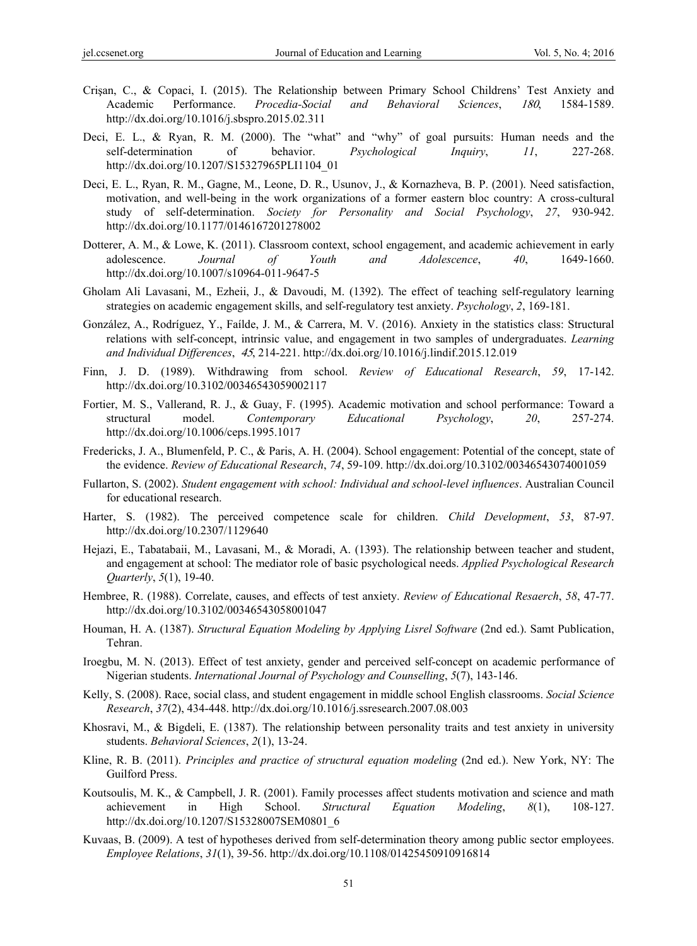- Crişan, C., & Copaci, I. (2015). The Relationship between Primary School Childrens' Test Anxiety and Academic Performance. *Procedia-Social and Behavioral Sciences*, <sup>180</sup>, 1584-1589. http://dx.doi.org/10.1016/j.sbspro.2015.02.311
- Deci, E. L., & Ryan, R. M. (2000). The "what" and "why" of goal pursuits: Human needs and the self-determination of behavior. *Psychological Inquiry*, *11*, 227-268. http://dx.doi.org/10.1207/S15327965PLI1104\_01
- Deci, E. L., Ryan, R. M., Gagne, M., Leone, D. R., Usunov, J., & Kornazheva, B. P. (2001). Need satisfaction, motivation, and well-being in the work organizations of a former eastern bloc country: A cross-cultural study of self-determination. *Society for Personality and Social Psychology*, *27*, 930-942. http://dx.doi.org/10.1177/0146167201278002
- Dotterer, A. M., & Lowe, K. (2011). Classroom context, school engagement, and academic achievement in early adolescence. *Journal of Youth and Adolescence*, *40*, 1649-1660. http://dx.doi.org/10.1007/s10964-011-9647-5
- Gholam Ali Lavasani, M., Ezheii, J., & Davoudi, M. (1392). The effect of teaching self-regulatory learning strategies on academic engagement skills, and self-regulatory test anxiety. *Psychology*, *2*, 169-181.
- González, A., Rodríguez, Y., Faílde, J. M., & Carrera, M. V. (2016). Anxiety in the statistics class: Structural relations with self-concept, intrinsic value, and engagement in two samples of undergraduates. *Learning and Individual Differences*, 45, 214-221. http://dx.doi.org/10.1016/j.lindif.2015.12.019
- Finn, J. D. (1989). Withdrawing from school. *Review of Educational Research*, *59*, 17-142. http://dx.doi.org/10.3102/00346543059002117
- Fortier, M. S., Vallerand, R. J., & Guay, F. (1995). Academic motivation and school performance: Toward a structural model. *Contemporary Educational Psychology*, *20*, 257-274. http://dx.doi.org/10.1006/ceps.1995.1017
- Fredericks, J. A., Blumenfeld, P. C., & Paris, A. H. (2004). School engagement: Potential of the concept, state of the evidence. *Review of Educational Research*, *74*, 59-109. http://dx.doi.org/10.3102/00346543074001059
- Fullarton, S. (2002). *Student engagement with school: Individual and school-level influences*. Australian Council for educational research.
- Harter, S. (1982). The perceived competence scale for children. *Child Development*, *53*, 87-97. http://dx.doi.org/10.2307/1129640
- Hejazi, E., Tabatabaii, M., Lavasani, M., & Moradi, A. (1393). The relationship between teacher and student, and engagement at school: The mediator role of basic psychological needs. *Applied Psychological Research Quarterly*, *5*(1), 19-40.
- Hembree, R. (1988). Correlate, causes, and effects of test anxiety. *Review of Educational Resaerch*, *58*, 47-77. http://dx.doi.org/10.3102/00346543058001047
- Houman, H. A. (1387). *Structural Equation Modeling by Applying Lisrel Software* (2nd ed.). Samt Publication, Tehran.
- Iroegbu, M. N. (2013). Effect of test anxiety, gender and perceived self-concept on academic performance of Nigerian students. *International Journal of Psychology and Counselling*, *5*(7), 143-146.
- Kelly, S. (2008). Race, social class, and student engagement in middle school English classrooms. *Social Science Research*, *37*(2), 434-448. http://dx.doi.org/10.1016/j.ssresearch.2007.08.003
- Khosravi, M., & Bigdeli, E. (1387). The relationship between personality traits and test anxiety in university students. *Behavioral Sciences*, *2*(1), 13-24.
- Kline, R. B. (2011). *Principles and practice of structural equation modeling* (2nd ed.). New York, NY: The Guilford Press.
- Koutsoulis, M. K., & Campbell, J. R. (2001). Family processes affect students motivation and science and math achievement in High School. *Structural Equation Modeling*, *8*(1), 108-127. http://dx.doi.org/10.1207/S15328007SEM0801\_6
- Kuvaas, B. (2009). A test of hypotheses derived from self-determination theory among public sector employees. *Employee Relations*, *31*(1), 39-56. http://dx.doi.org/10.1108/01425450910916814